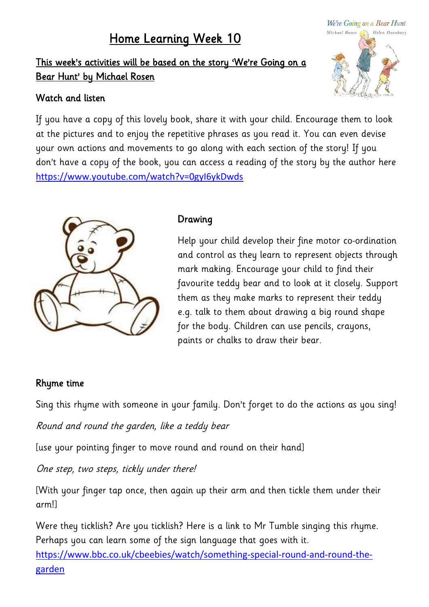# Home Learning Week 10

This week's activities will be based on the story 'We're Going on a Bear Hunt' by Michael Rosen

#### Watch and listen

If you have a copy of this lovely book, share it with your child. Encourage them to look at the pictures and to enjoy the repetitive phrases as you read it. You can even devise your own actions and movements to go along with each section of the story! If you don't have a copy of the book, you can access a reading of the story by the author here <https://www.youtube.com/watch?v=0gyI6ykDwds>



#### Drawing

Help your child develop their fine motor co-ordination and control as they learn to represent objects through mark making. Encourage your child to find their favourite teddy bear and to look at it closely. Support them as they make marks to represent their teddy e.g. talk to them about drawing a big round shape for the body. Children can use pencils, crayons, paints or chalks to draw their bear.

#### Rhyme time

Sing this rhyme with someone in your family. Don't forget to do the actions as you sing!

Round and round the garden, like a teddy bear

[use your pointing finger to move round and round on their hand]

One step, two steps, tickly under there!

[With your finger tap once, then again up their arm and then tickle them under their arm!]

Were they ticklish? Are you ticklish? Here is a link to Mr Tumble singing this rhyme. Perhaps you can learn some of the sign language that goes with it.

[https://www.bbc.co.uk/cbeebies/watch/something-special-round-and-round-the](https://www.bbc.co.uk/cbeebies/watch/something-special-round-and-round-the-garden)[garden](https://www.bbc.co.uk/cbeebies/watch/something-special-round-and-round-the-garden)